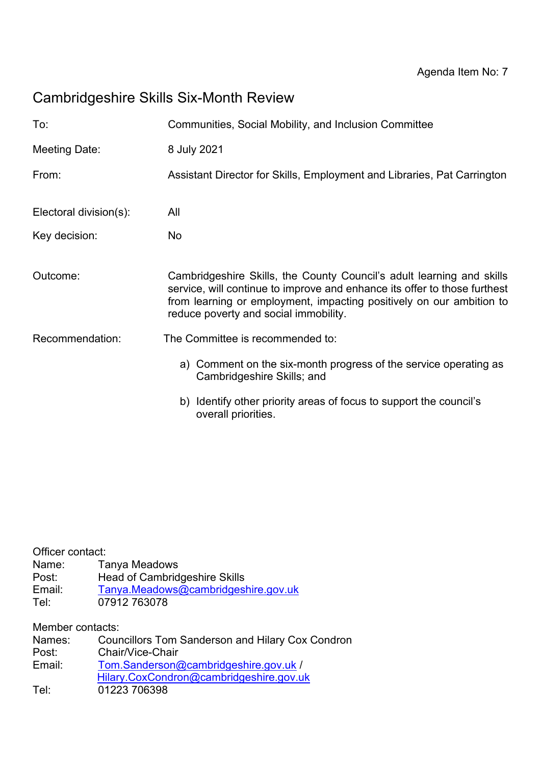# Cambridgeshire Skills Six-Month Review

| To:                    | Communities, Social Mobility, and Inclusion Committee                                                                                                                                                                                                               |
|------------------------|---------------------------------------------------------------------------------------------------------------------------------------------------------------------------------------------------------------------------------------------------------------------|
| Meeting Date:          | 8 July 2021                                                                                                                                                                                                                                                         |
| From:                  | Assistant Director for Skills, Employment and Libraries, Pat Carrington                                                                                                                                                                                             |
| Electoral division(s): | All                                                                                                                                                                                                                                                                 |
| Key decision:          | No.                                                                                                                                                                                                                                                                 |
| Outcome:               | Cambridgeshire Skills, the County Council's adult learning and skills<br>service, will continue to improve and enhance its offer to those furthest<br>from learning or employment, impacting positively on our ambition to<br>reduce poverty and social immobility. |
| Recommendation:        | The Committee is recommended to:                                                                                                                                                                                                                                    |
|                        | a) Comment on the six-month progress of the service operating as<br>Cambridgeshire Skills; and                                                                                                                                                                      |
|                        | b) Identify other priority areas of focus to support the council's<br>overall priorities.                                                                                                                                                                           |

Officer contact: Name: Tanya Meadows Post: Head of Cambridgeshire Skills Email: [Tanya.Meadows@cambridgeshire.gov.uk](mailto:Tanya.Meadows@cambridgeshire.gov.uk) r تارید ہے<br>Email: T<u>anya.Meadow</u><br>Tel: 07912 763078

Member contacts:

| Names: | <b>Councillors Tom Sanderson and Hilary Cox Condron</b> |
|--------|---------------------------------------------------------|
| Post:  | Chair/Vice-Chair                                        |
| Email: | Tom.Sanderson@cambridgeshire.gov.uk /                   |
|        | Hilary.CoxCondron@cambridgeshire.gov.uk                 |
| Tel:   | 01223 706398                                            |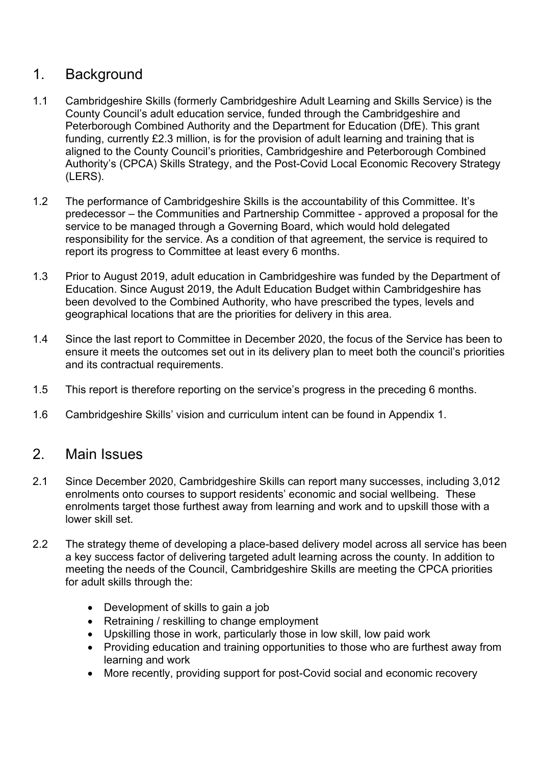# 1. Background

- 1.1 Cambridgeshire Skills (formerly Cambridgeshire Adult Learning and Skills Service) is the County Council's adult education service, funded through the Cambridgeshire and Peterborough Combined Authority and the Department for Education (DfE). This grant funding, currently £2.3 million, is for the provision of adult learning and training that is aligned to the County Council's priorities, Cambridgeshire and Peterborough Combined Authority's (CPCA) Skills Strategy, and the Post-Covid Local Economic Recovery Strategy (LERS).
- 1.2 The performance of Cambridgeshire Skills is the accountability of this Committee. It's predecessor – the Communities and Partnership Committee - approved a proposal for the service to be managed through a Governing Board, which would hold delegated responsibility for the service. As a condition of that agreement, the service is required to report its progress to Committee at least every 6 months.
- 1.3 Prior to August 2019, adult education in Cambridgeshire was funded by the Department of Education. Since August 2019, the Adult Education Budget within Cambridgeshire has been devolved to the Combined Authority, who have prescribed the types, levels and geographical locations that are the priorities for delivery in this area.
- 1.4 Since the last report to Committee in December 2020, the focus of the Service has been to ensure it meets the outcomes set out in its delivery plan to meet both the council's priorities and its contractual requirements.
- 1.5 This report is therefore reporting on the service's progress in the preceding 6 months.
- 1.6 Cambridgeshire Skills' vision and curriculum intent can be found in Appendix 1.

### 2. Main Issues

- 2.1 Since December 2020, Cambridgeshire Skills can report many successes, including 3,012 enrolments onto courses to support residents' economic and social wellbeing. These enrolments target those furthest away from learning and work and to upskill those with a lower skill set.
- 2.2 The strategy theme of developing a place-based delivery model across all service has been a key success factor of delivering targeted adult learning across the county. In addition to meeting the needs of the Council, Cambridgeshire Skills are meeting the CPCA priorities for adult skills through the:
	- Development of skills to gain a job
	- Retraining / reskilling to change employment
	- Upskilling those in work, particularly those in low skill, low paid work
	- Providing education and training opportunities to those who are furthest away from learning and work
	- More recently, providing support for post-Covid social and economic recovery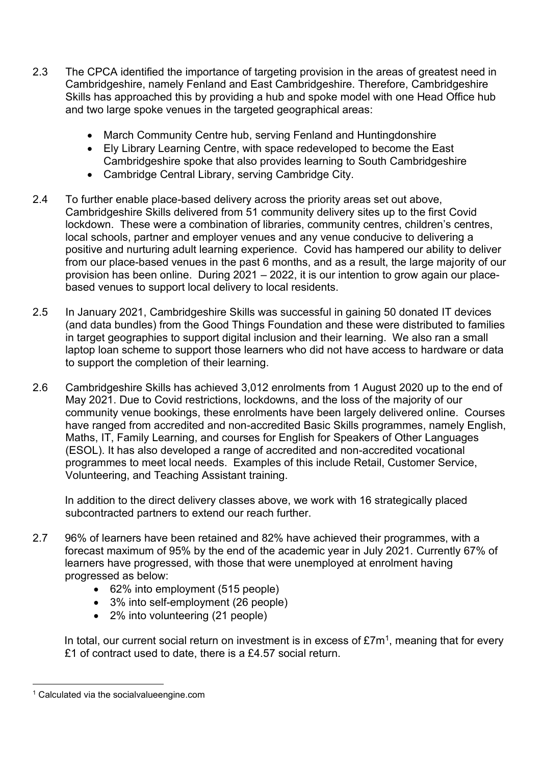- 2.3 The CPCA identified the importance of targeting provision in the areas of greatest need in Cambridgeshire, namely Fenland and East Cambridgeshire. Therefore, Cambridgeshire Skills has approached this by providing a hub and spoke model with one Head Office hub and two large spoke venues in the targeted geographical areas:
	- March Community Centre hub, serving Fenland and Huntingdonshire
	- Ely Library Learning Centre, with space redeveloped to become the East Cambridgeshire spoke that also provides learning to South Cambridgeshire
	- Cambridge Central Library, serving Cambridge City.
- 2.4 To further enable place-based delivery across the priority areas set out above, Cambridgeshire Skills delivered from 51 community delivery sites up to the first Covid lockdown. These were a combination of libraries, community centres, children's centres, local schools, partner and employer venues and any venue conducive to delivering a positive and nurturing adult learning experience. Covid has hampered our ability to deliver from our place-based venues in the past 6 months, and as a result, the large majority of our provision has been online. During 2021 – 2022, it is our intention to grow again our placebased venues to support local delivery to local residents.
- 2.5 In January 2021, Cambridgeshire Skills was successful in gaining 50 donated IT devices (and data bundles) from the Good Things Foundation and these were distributed to families in target geographies to support digital inclusion and their learning. We also ran a small laptop loan scheme to support those learners who did not have access to hardware or data to support the completion of their learning.
- 2.6 Cambridgeshire Skills has achieved 3,012 enrolments from 1 August 2020 up to the end of May 2021. Due to Covid restrictions, lockdowns, and the loss of the majority of our community venue bookings, these enrolments have been largely delivered online. Courses have ranged from accredited and non-accredited Basic Skills programmes, namely English, Maths, IT, Family Learning, and courses for English for Speakers of Other Languages (ESOL). It has also developed a range of accredited and non-accredited vocational programmes to meet local needs. Examples of this include Retail, Customer Service, Volunteering, and Teaching Assistant training.

In addition to the direct delivery classes above, we work with 16 strategically placed subcontracted partners to extend our reach further.

- 2.7 96% of learners have been retained and 82% have achieved their programmes, with a forecast maximum of 95% by the end of the academic year in July 2021. Currently 67% of learners have progressed, with those that were unemployed at enrolment having progressed as below:
	- 62% into employment (515 people)
	- 3% into self-employment (26 people)
	- 2% into volunteering (21 people)

In total, our current social return on investment is in excess of  $\pounds 7m<sup>1</sup>$ , meaning that for every £1 of contract used to date, there is a £4.57 social return.

<sup>1</sup> Calculated via the socialvalueengine.com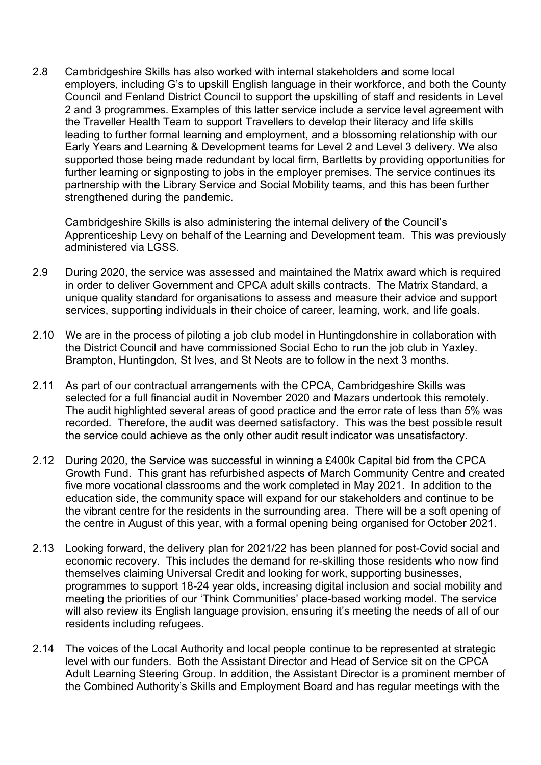2.8 Cambridgeshire Skills has also worked with internal stakeholders and some local employers, including G's to upskill English language in their workforce, and both the County Council and Fenland District Council to support the upskilling of staff and residents in Level 2 and 3 programmes. Examples of this latter service include a service level agreement with the Traveller Health Team to support Travellers to develop their literacy and life skills leading to further formal learning and employment, and a blossoming relationship with our Early Years and Learning & Development teams for Level 2 and Level 3 delivery. We also supported those being made redundant by local firm, Bartletts by providing opportunities for further learning or signposting to jobs in the employer premises. The service continues its partnership with the Library Service and Social Mobility teams, and this has been further strengthened during the pandemic.

Cambridgeshire Skills is also administering the internal delivery of the Council's Apprenticeship Levy on behalf of the Learning and Development team. This was previously administered via LGSS.

- 2.9 During 2020, the service was assessed and maintained the Matrix award which is required in order to deliver Government and CPCA adult skills contracts. The Matrix Standard, a unique quality standard for organisations to assess and measure their advice and support services, supporting individuals in their choice of career, learning, work, and life goals.
- 2.10 We are in the process of piloting a job club model in Huntingdonshire in collaboration with the District Council and have commissioned Social Echo to run the job club in Yaxley. Brampton, Huntingdon, St Ives, and St Neots are to follow in the next 3 months.
- 2.11 As part of our contractual arrangements with the CPCA, Cambridgeshire Skills was selected for a full financial audit in November 2020 and Mazars undertook this remotely. The audit highlighted several areas of good practice and the error rate of less than 5% was recorded. Therefore, the audit was deemed satisfactory. This was the best possible result the service could achieve as the only other audit result indicator was unsatisfactory.
- 2.12 During 2020, the Service was successful in winning a £400k Capital bid from the CPCA Growth Fund. This grant has refurbished aspects of March Community Centre and created five more vocational classrooms and the work completed in May 2021. In addition to the education side, the community space will expand for our stakeholders and continue to be the vibrant centre for the residents in the surrounding area. There will be a soft opening of the centre in August of this year, with a formal opening being organised for October 2021.
- 2.13 Looking forward, the delivery plan for 2021/22 has been planned for post-Covid social and economic recovery. This includes the demand for re-skilling those residents who now find themselves claiming Universal Credit and looking for work, supporting businesses, programmes to support 18-24 year olds, increasing digital inclusion and social mobility and meeting the priorities of our 'Think Communities' place-based working model. The service will also review its English language provision, ensuring it's meeting the needs of all of our residents including refugees.
- 2.14 The voices of the Local Authority and local people continue to be represented at strategic level with our funders. Both the Assistant Director and Head of Service sit on the CPCA Adult Learning Steering Group. In addition, the Assistant Director is a prominent member of the Combined Authority's Skills and Employment Board and has regular meetings with the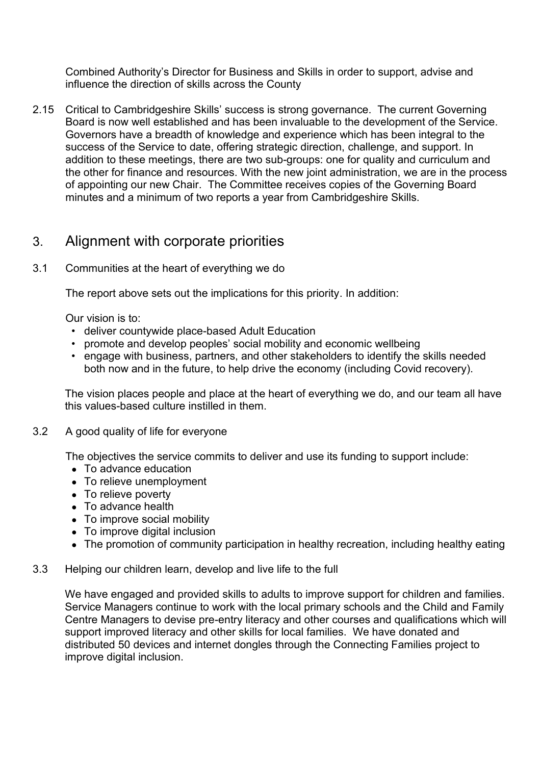Combined Authority's Director for Business and Skills in order to support, advise and influence the direction of skills across the County

2.15 Critical to Cambridgeshire Skills' success is strong governance. The current Governing Board is now well established and has been invaluable to the development of the Service. Governors have a breadth of knowledge and experience which has been integral to the success of the Service to date, offering strategic direction, challenge, and support. In addition to these meetings, there are two sub-groups: one for quality and curriculum and the other for finance and resources. With the new joint administration, we are in the process of appointing our new Chair. The Committee receives copies of the Governing Board minutes and a minimum of two reports a year from Cambridgeshire Skills.

## 3. Alignment with corporate priorities

#### 3.1 Communities at the heart of everything we do

The report above sets out the implications for this priority. In addition:

Our vision is to:

- deliver countywide place-based Adult Education
- promote and develop peoples' social mobility and economic wellbeing
- engage with business, partners, and other stakeholders to identify the skills needed both now and in the future, to help drive the economy (including Covid recovery).

The vision places people and place at the heart of everything we do, and our team all have this values-based culture instilled in them.

#### 3.2 A good quality of life for everyone

The objectives the service commits to deliver and use its funding to support include:

- To advance education
- To relieve unemployment
- To relieve poverty
- To advance health
- To improve social mobility
- To improve digital inclusion
- The promotion of community participation in healthy recreation, including healthy eating
- 3.3 Helping our children learn, develop and live life to the full

We have engaged and provided skills to adults to improve support for children and families. Service Managers continue to work with the local primary schools and the Child and Family Centre Managers to devise pre-entry literacy and other courses and qualifications which will support improved literacy and other skills for local families. We have donated and distributed 50 devices and internet dongles through the Connecting Families project to improve digital inclusion.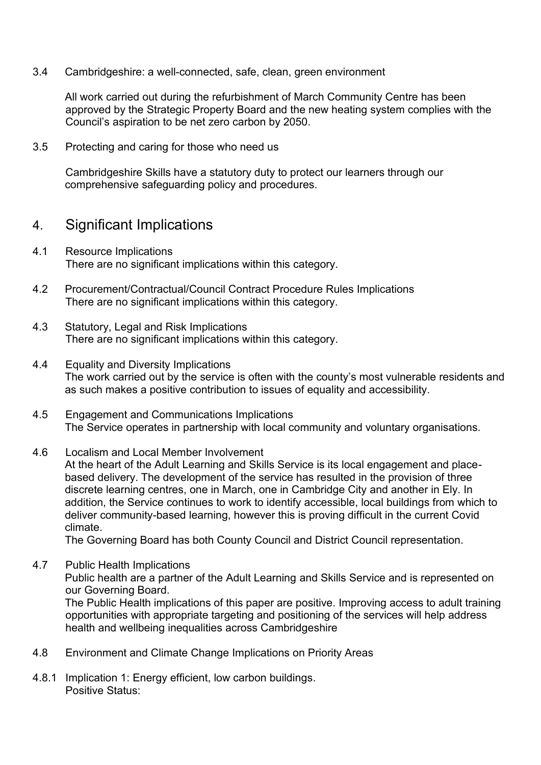3.4 Cambridgeshire: a well-connected, safe, clean, green environment

All work carried out during the refurbishment of March Community Centre has been approved by the Strategic Property Board and the new heating system complies with the Council's aspiration to be net zero carbon by 2050.

3.5 Protecting and caring for those who need us

Cambridgeshire Skills have a statutory duty to protect our learners through our comprehensive safeguarding policy and procedures.

### 4. Significant Implications

- 4.1 Resource Implications There are no significant implications within this category.
- 4.2 Procurement/Contractual/Council Contract Procedure Rules Implications There are no significant implications within this category.
- 4.3 Statutory, Legal and Risk Implications There are no significant implications within this category.
- 4.4 Equality and Diversity Implications The work carried out by the service is often with the county's most vulnerable residents and as such makes a positive contribution to issues of equality and accessibility.
- 4.5 Engagement and Communications Implications The Service operates in partnership with local community and voluntary organisations.
- 4.6 Localism and Local Member Involvement At the heart of the Adult Learning and Skills Service is its local engagement and placebased delivery. The development of the service has resulted in the provision of three discrete learning centres, one in March, one in Cambridge City and another in Ely. In addition, the Service continues to work to identify accessible, local buildings from which to deliver community-based learning, however this is proving difficult in the current Covid climate.

The Governing Board has both County Council and District Council representation.

- 4.7 Public Health Implications Public health are a partner of the Adult Learning and Skills Service and is represented on our Governing Board. The Public Health implications of this paper are positive. Improving access to adult training opportunities with appropriate targeting and positioning of the services will help address health and wellbeing inequalities across Cambridgeshire
- 4.8 Environment and Climate Change Implications on Priority Areas
- 4.8.1 Implication 1: Energy efficient, low carbon buildings. Positive Status: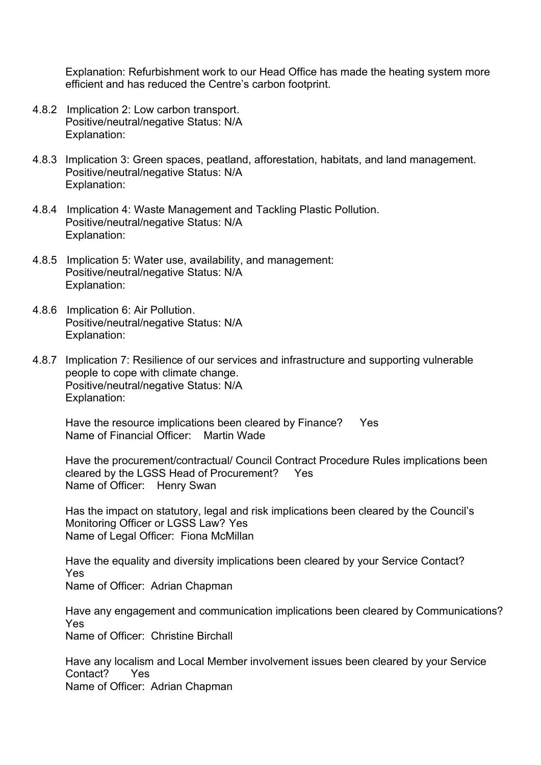Explanation: Refurbishment work to our Head Office has made the heating system more efficient and has reduced the Centre's carbon footprint.

- 4.8.2 Implication 2: Low carbon transport. Positive/neutral/negative Status: N/A Explanation:
- 4.8.3 Implication 3: Green spaces, peatland, afforestation, habitats, and land management. Positive/neutral/negative Status: N/A Explanation:
- 4.8.4 Implication 4: Waste Management and Tackling Plastic Pollution. Positive/neutral/negative Status: N/A Explanation:
- 4.8.5 Implication 5: Water use, availability, and management: Positive/neutral/negative Status: N/A Explanation:
- 4.8.6 Implication 6: Air Pollution. Positive/neutral/negative Status: N/A Explanation:
- 4.8.7 Implication 7: Resilience of our services and infrastructure and supporting vulnerable people to cope with climate change. Positive/neutral/negative Status: N/A Explanation:

Have the resource implications been cleared by Finance? Yes Name of Financial Officer: Martin Wade

Have the procurement/contractual/ Council Contract Procedure Rules implications been cleared by the LGSS Head of Procurement? Yes Name of Officer: Henry Swan

Has the impact on statutory, legal and risk implications been cleared by the Council's Monitoring Officer or LGSS Law? Yes Name of Legal Officer: Fiona McMillan

Have the equality and diversity implications been cleared by your Service Contact? Yes Name of Officer: Adrian Chapman

Have any engagement and communication implications been cleared by Communications? Yes Name of Officer: Christine Birchall

Have any localism and Local Member involvement issues been cleared by your Service Contact? Yes Name of Officer: Adrian Chapman